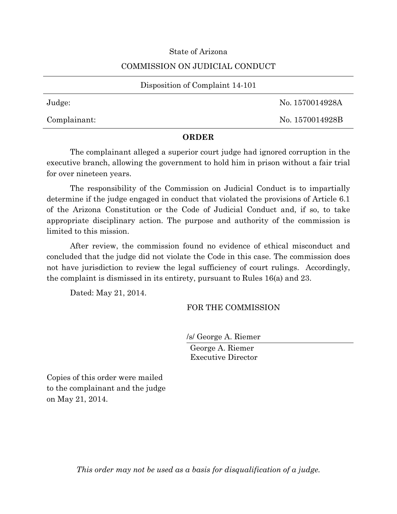## State of Arizona

## COMMISSION ON JUDICIAL CONDUCT

| Disposition of Complaint 14-101 |                 |
|---------------------------------|-----------------|
| Judge:                          | No. 1570014928A |
| Complainant:                    | No. 1570014928B |

## **ORDER**

The complainant alleged a superior court judge had ignored corruption in the executive branch, allowing the government to hold him in prison without a fair trial for over nineteen years.

The responsibility of the Commission on Judicial Conduct is to impartially determine if the judge engaged in conduct that violated the provisions of Article 6.1 of the Arizona Constitution or the Code of Judicial Conduct and, if so, to take appropriate disciplinary action. The purpose and authority of the commission is limited to this mission.

After review, the commission found no evidence of ethical misconduct and concluded that the judge did not violate the Code in this case. The commission does not have jurisdiction to review the legal sufficiency of court rulings. Accordingly, the complaint is dismissed in its entirety, pursuant to Rules 16(a) and 23.

Dated: May 21, 2014.

## FOR THE COMMISSION

/s/ George A. Riemer George A. Riemer Executive Director

Copies of this order were mailed to the complainant and the judge on May 21, 2014.

*This order may not be used as a basis for disqualification of a judge.*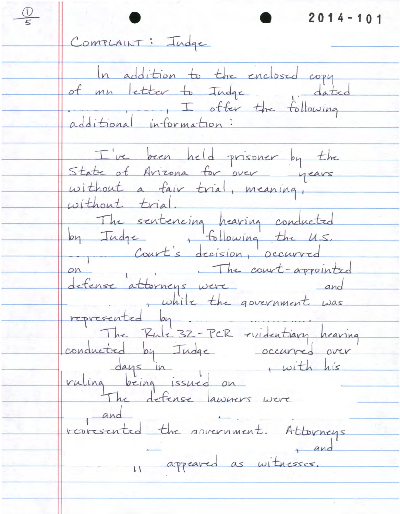$\frac{1}{2}$  $2014 - 101$ COMPLAINT: Indge In addition to the enclosed copy<br>of mn letter to Indge additional information: I've been held prisoner by the<br>State of Avizona for over years without a fair trial, meaning, without trial.<br>Les tudre, following the U.S.<br>Leg Tudre, following the U.S. on<br>defense attorneys were and<br>while the government was represented by The Rule 32-PCR evidentiary hearing conducted by Indee occurred over<br>days in twith his<br>vuling being issued on<br>The defense lawners were and represented the asvernment. Attorneys 11 appeared as witnesses.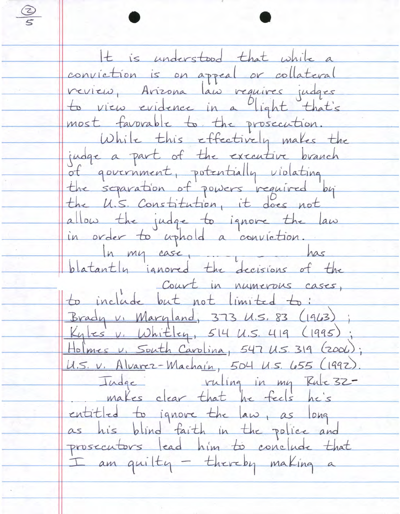$\frac{Q}{f}$ It is understood that while a conviction is on appeal or collateral verien, Arizona lan requires judges to view evidence in a light that's most favorable to the prosecution. While this effectively makes the judge a part of the executive branch of government, potentially violating the separation of powers required by the U.S. Constitution, it does not allow the judge to ignore the law in order to uphold a conviction. In my case, is in has blatantly ignored the decisions of the Court in numerous cases, to include but not limited to: Brady v. Maryland, 373 U.S. 83 (1963) Kyles v. Whitley, 514 U.S. 419 (1995); Holmes v. South Carolina, 547 U.S. 319 (2006); U.S. v. Alvarez-Machain, 504 U.S. 655 (1992) Index clear that he feels he's entitled to ignore the law, as long as his blind faith in the police and prosecutors lead him to conclude that I am quilty - thereby making a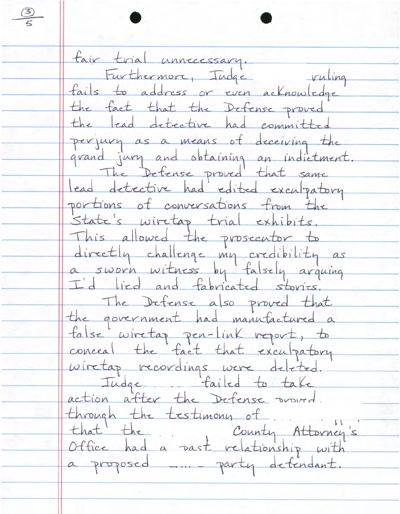$\frac{3}{5}$ fair trial unnecessary.<br>Furthermore, Tudge ruling fails to address or even acknowledge the fact that the Defense proved the lead detective had committed perjury as a means of deceiving the grand jury and obtaining an indictment The Defense proved that same lead detective had edited exculpatory portions of conversations from the State's wiretap trial exhibits. This allowed the prosecutor to directly challenge my credibility as<br>a sworn witness by falsely arguing I'd lied and fabricated stories. The Defense also proved that the government had manufactured a talse wiretap pen-link report, to conceal the fact that exculpatory wiretag recordings were deleted.<br>Tudge failed to take through the testimony of that the County Attorney's a proposed me party detendant.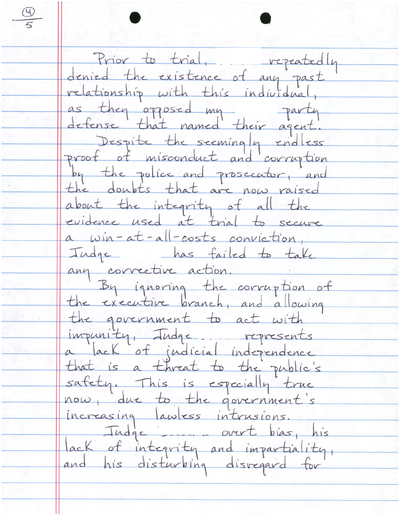Prior to trial, repeatedly<br>denied the existence of any past relationship with this individual, as they opposed my party Despite the seemingly endless by the police and prosecutor, and the doubts that are now raised about the integrity of all the evidence used at trial to secure a win-at-all-costs conviction, Indqc has failed to take any corrective action. By ignoring the corruption of the executive branch, and allowing the government to act with impunity, Judge represents a lack of judicial independence that is a threat to the public's safety. This is especially true<br>now, due to the government's increasing lawless intrusions.<br>Tudge - overt bias, his lack of integrity and impartiality,

 $\frac{\Theta}{5}$